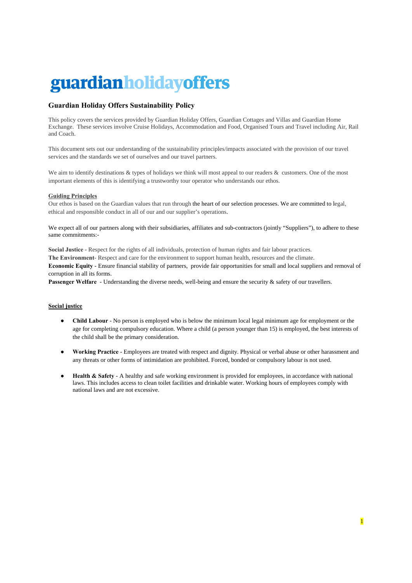# guardianholidayoffers

# **Guardian Holiday Offers Sustainability Policy**

This policy covers the services provided by Guardian Holiday Offers, Guardian Cottages and Villas and Guardian Home Exchange. These services involve Cruise Holidays, Accommodation and Food, Organised Tours and Travel including Air, Rail and Coach.

This document sets out our understanding of the sustainability principles/impacts associated with the provision of our travel services and the standards we set of ourselves and our travel partners.

We aim to identify destinations & types of holidays we think will most appeal to our readers & customers. One of the most important elements of this is identifying a trustworthy tour operator who understands our ethos.

# **Guiding Principles**

Our ethos is based on the Guardian values that run through the heart of our selection processes. We are committed to legal, ethical and responsible conduct in all of our and our supplier's operations.

We expect all of our partners along with their subsidiaries, affiliates and sub-contractors (jointly "Suppliers"), to adhere to these same commitments:-

**Social Justice** - Respect for the rights of all individuals, protection of human rights and fair labour practices. **The Environment**- Respect and care for the environment to support human health, resources and the climate. **Economic Equity** - Ensure financial stability of partners, provide fair opportunities for small and local suppliers and removal of corruption in all its forms.

**Passenger Welfare** - Understanding the diverse needs, well-being and ensure the security & safety of our travellers.

# **Social justice**

- **● Child Labour**  No person is employed who is below the minimum local legal minimum age for employment or the age for completing compulsory education. Where a child (a person younger than 15) is employed, the best interests of the child shall be the primary consideration.
- Working Practice Employees are treated with respect and dignity. Physical or verbal abuse or other harassment and any threats or other forms of intimidation are prohibited. Forced, bonded or compulsory labour is not used.
- **Health & Safety** A healthy and safe working environment is provided for employees, in accordance with national laws. This includes access to clean toilet facilities and drinkable water. Working hours of employees comply with national laws and are not excessive.